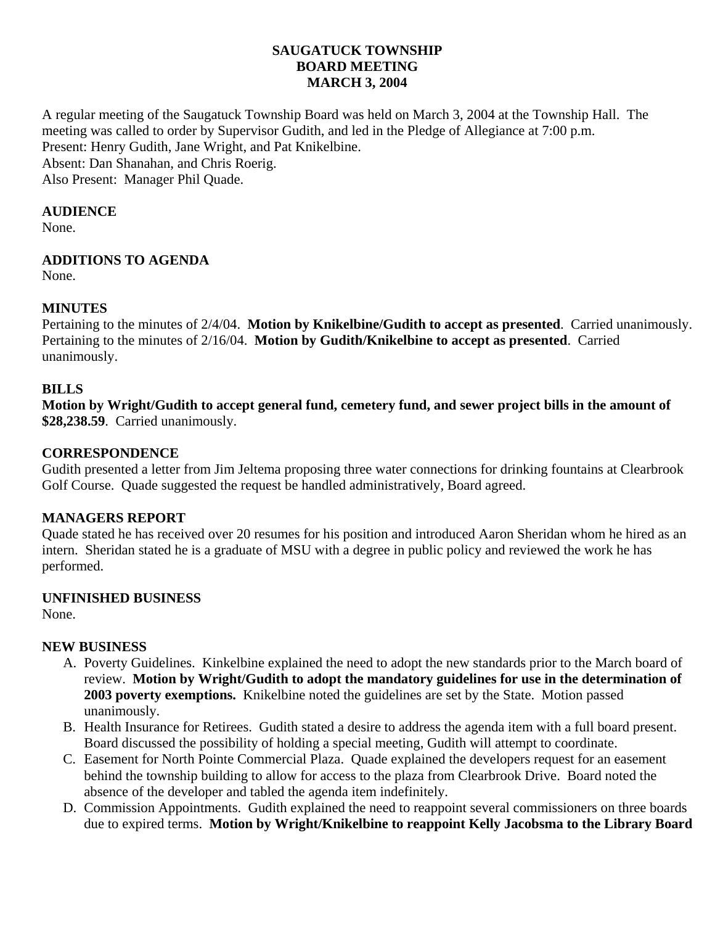### **SAUGATUCK TOWNSHIP BOARD MEETING MARCH 3, 2004**

A regular meeting of the Saugatuck Township Board was held on March 3, 2004 at the Township Hall. The meeting was called to order by Supervisor Gudith, and led in the Pledge of Allegiance at 7:00 p.m. Present: Henry Gudith, Jane Wright, and Pat Knikelbine. Absent: Dan Shanahan, and Chris Roerig. Also Present: Manager Phil Quade.

#### **AUDIENCE**

None.

# **ADDITIONS TO AGENDA**

None.

# **MINUTES**

Pertaining to the minutes of 2/4/04. **Motion by Knikelbine/Gudith to accept as presented**. Carried unanimously. Pertaining to the minutes of 2/16/04. **Motion by Gudith/Knikelbine to accept as presented**. Carried unanimously.

# **BILLS**

**Motion by Wright/Gudith to accept general fund, cemetery fund, and sewer project bills in the amount of \$28,238.59**. Carried unanimously.

# **CORRESPONDENCE**

Gudith presented a letter from Jim Jeltema proposing three water connections for drinking fountains at Clearbrook Golf Course. Quade suggested the request be handled administratively, Board agreed.

### **MANAGERS REPORT**

Quade stated he has received over 20 resumes for his position and introduced Aaron Sheridan whom he hired as an intern. Sheridan stated he is a graduate of MSU with a degree in public policy and reviewed the work he has performed.

### **UNFINISHED BUSINESS**

None.

### **NEW BUSINESS**

- A. Poverty Guidelines. Kinkelbine explained the need to adopt the new standards prior to the March board of review. **Motion by Wright/Gudith to adopt the mandatory guidelines for use in the determination of 2003 poverty exemptions.** Knikelbine noted the guidelines are set by the State. Motion passed unanimously.
- B. Health Insurance for Retirees. Gudith stated a desire to address the agenda item with a full board present. Board discussed the possibility of holding a special meeting, Gudith will attempt to coordinate.
- C. Easement for North Pointe Commercial Plaza. Quade explained the developers request for an easement behind the township building to allow for access to the plaza from Clearbrook Drive. Board noted the absence of the developer and tabled the agenda item indefinitely.
- D. Commission Appointments. Gudith explained the need to reappoint several commissioners on three boards due to expired terms. **Motion by Wright/Knikelbine to reappoint Kelly Jacobsma to the Library Board**